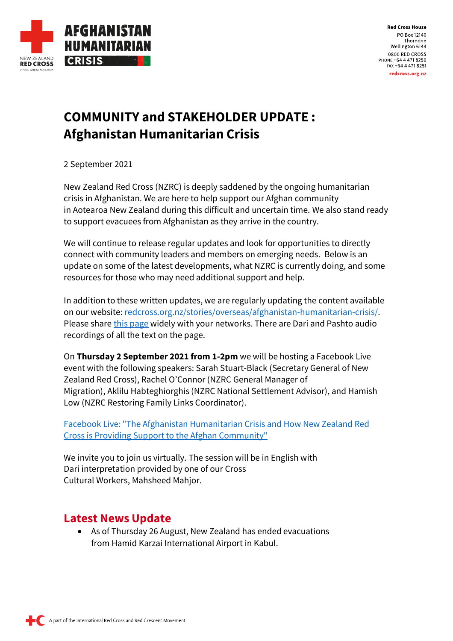

# **COMMUNITY and STAKEHOLDER UPDATE : Afghanistan Humanitarian Crisis**

2 September 2021

New Zealand Red Cross (NZRC) is deeply saddened by the ongoing humanitarian crisis in Afghanistan. We are here to help support our Afghan community in Aotearoa New Zealand during this difficult and uncertain time. We also stand ready to support evacuees from Afghanistan as they arrive in the country.

We will continue to release regular updates and look for opportunities to directly connect with community leaders and members on emerging needs. Below is an update on some of the latest developments, what NZRC is currently doing, and some resources for those who may need additional support and help.

In addition to these written updates, we are regularly updating the content available on our website: [redcross.org.nz/stories/overseas/afghanistan-humanitarian-crisis/.](http://www.redcross.org.nz/stories/overseas/afghanistan-humanitarian-crisis/) Please share [this page](http://www.redcross.org.nz/stories/overseas/afghanistan-humanitarian-crisis/) widely with your networks. There are Dari and Pashto audio recordings of all the text on the page.

On **Thursday 2 September 2021 from 1-2pm** we will be hosting a Facebook Live event with the following speakers: Sarah Stuart-Black (Secretary General of New Zealand Red Cross), Rachel O'Connor (NZRC General Manager of Migration), Aklilu Habteghiorghis (NZRC National Settlement Advisor), and Hamish Low (NZRC Restoring Family Links Coordinator).

[Facebook Live: "The Afghanistan Humanitarian Crisis and How New Zealand Red](https://www.facebook.com/NewZealandRedCross/posts/4536575536386176)  [Cross is Providing Support to the Afghan Community"](https://www.facebook.com/NewZealandRedCross/posts/4536575536386176)

We invite you to join us virtually. The session will be in English with Dari interpretation provided by one of our Cross Cultural Workers, Mahsheed Mahjor.

### **Latest News Update**

• As of Thursday 26 August, New Zealand has ended evacuations from Hamid Karzai International Airport in Kabul.

A part of the International Red Cross and Red Crescent Movement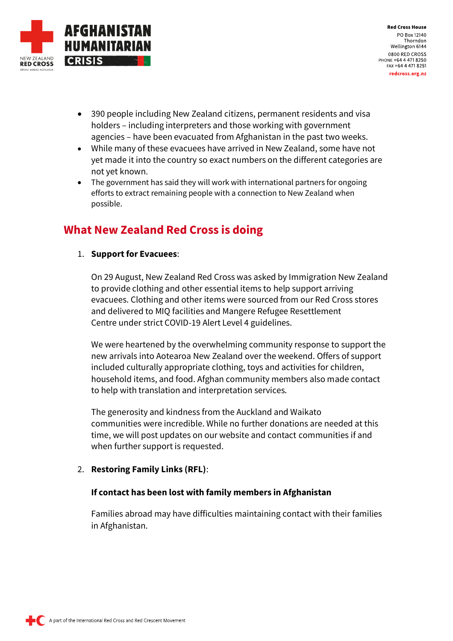

- 390 people including New Zealand citizens, permanent residents and visa holders – including interpreters and those working with government agencies – have been evacuated from Afghanistan in the past two weeks.
- While many of these evacuees have arrived in New Zealand, some have not yet made it into the country so exact numbers on the different categories are not yet known.
- The government has said they will work with international partners for ongoing efforts to extract remaining people with a connection to New Zealand when possible.

### **What New Zealand Red Cross is doing**

#### 1. **Support for Evacuees**:

On 29 August, New Zealand Red Cross was asked by Immigration New Zealand to provide clothing and other essential items to help support arriving evacuees. Clothing and other items were sourced from our Red Cross stores and delivered to MIQ facilities and Mangere Refugee Resettlement Centre under strict COVID-19 Alert Level 4 guidelines.

We were heartened by the overwhelming community response to support the new arrivals into Aotearoa New Zealand over the weekend. Offers of support included culturally appropriate clothing, toys and activities for children, household items, and food. Afghan community members also made contact to help with translation and interpretation services.

The generosity and kindness from the Auckland and Waikato communities were incredible. While no further donations are needed at this time, we will post updates on our website and contact communities if and when further support is requested.

#### 2. **Restoring Family Links (RFL)**:

#### **If contact has been lost with family members in Afghanistan**

Families abroad may have difficulties maintaining contact with their families in Afghanistan.

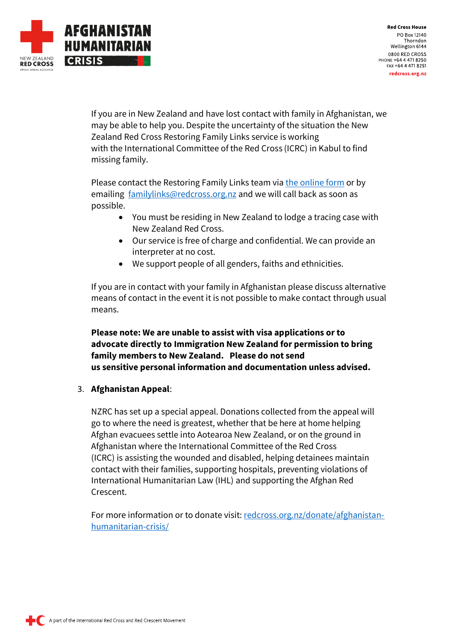

If you are in New Zealand and have lost contact with family in Afghanistan, we may be able to help you. Despite the uncertainty of the situation the New Zealand Red Cross Restoring Family Links service is working with the International Committee of the Red Cross (ICRC) in Kabul to find missing family.

Please contact the Restoring Family Links team via [the online form](https://www.redcross.org.nz/what-we-do/in-new-zealand/restoring-family-links/international-tracing/) or by emailing [familylinks@redcross.org.nz](mailto:familylinks@redcross.org.nz) and we will call back as soon as possible.

- You must be residing in New Zealand to lodge a tracing case with New Zealand Red Cross.
- Our service is free of charge and confidential. We can provide an interpreter at no cost.
- We support people of all genders, faiths and ethnicities.

If you are in contact with your family in Afghanistan please discuss alternative means of contact in the event it is not possible to make contact through usual means.

**Please note: We are unable to assist with visa applications or to advocate directly to Immigration New Zealand for permission to bring family members to New Zealand. Please do not send us sensitive personal information and documentation unless advised.**

#### 3. **Afghanistan Appeal**:

NZRC has set up a special appeal. Donations collected from the appeal will go to where the need is greatest, whether that be here at home helping Afghan evacuees settle into Aotearoa New Zealand, or on the ground in Afghanistan where the International Committee of the Red Cross (ICRC) is assisting the wounded and disabled, helping detainees maintain contact with their families, supporting hospitals, preventing violations of International Humanitarian Law (IHL) and supporting the Afghan Red Crescent.

For more information or to donate visit: [redcross.org.nz/donate/afghanistan](http://redcross.org.nz/donate/afghanistan-humanitarian-crisis/)[humanitarian-crisis/](http://redcross.org.nz/donate/afghanistan-humanitarian-crisis/)